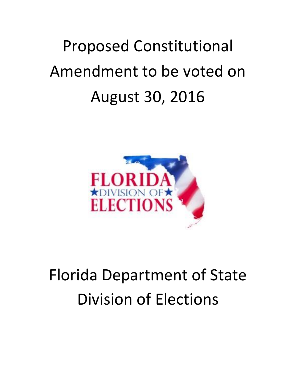# Proposed Constitutional Amendment to be voted on August 30, 2016



## Florida Department of State Division of Elections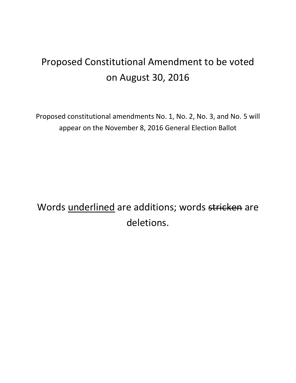### Proposed Constitutional Amendment to be voted on August 30, 2016

Proposed constitutional amendments No. 1, No. 2, No. 3, and No. 5 will appear on the November 8, 2016 General Election Ballot

Words underlined are additions; words stricken are deletions.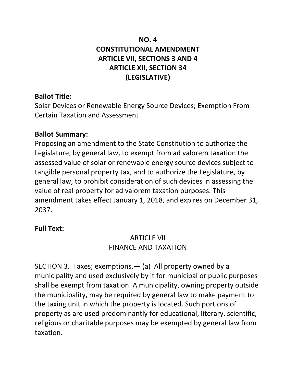#### **NO. 4 CONSTITUTIONAL AMENDMENT ARTICLE VII, SECTIONS 3 AND 4 ARTICLE XII, SECTION 34 (LEGISLATIVE)**

#### **Ballot Title:**

Solar Devices or Renewable Energy Source Devices; Exemption From Certain Taxation and Assessment

#### **Ballot Summary:**

Proposing an amendment to the State Constitution to authorize the Legislature, by general law, to exempt from ad valorem taxation the assessed value of solar or renewable energy source devices subject to tangible personal property tax, and to authorize the Legislature, by general law, to prohibit consideration of such devices in assessing the value of real property for ad valorem taxation purposes. This amendment takes effect January 1, 2018, and expires on December 31, 2037.

#### **Full Text:**

#### ARTICLE VII FINANCE AND TAXATION

SECTION 3. Taxes; exemptions.— (a) All property owned by a municipality and used exclusively by it for municipal or public purposes shall be exempt from taxation. A municipality, owning property outside the municipality, may be required by general law to make payment to the taxing unit in which the property is located. Such portions of property as are used predominantly for educational, literary, scientific, religious or charitable purposes may be exempted by general law from taxation.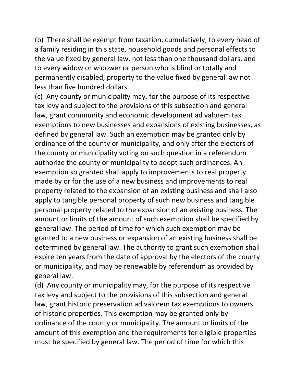(b) There shall be exempt from taxation, cumulatively, to every head of a family residing in this state, household goods and personal effects to the value fixed by general law, not less than one thousand dollars, and to every widow or widower or person who is blind or totally and permanently disabled, property to the value fixed by general law not less than five hundred dollars.

(c) Any county or municipality may, for the purpose of its respective tax levy and subject to the provisions of this subsection and general law, grant community and economic development ad valorem tax exemptions to new businesses and expansions of existing businesses, as defined by general law. Such an exemption may be granted only by ordinance of the county or municipality, and only after the electors of the county or municipality voting on such question in a referendum authorize the county or municipality to adopt such ordinances. An exemption so granted shall apply to improvements to real property made by or for the use of a new business and improvements to real property related to the expansion of an existing business and shall also apply to tangible personal property of such new business and tangible personal property related to the expansion of an existing business. The amount or limits of the amount of such exemption shall be specified by general law. The period of time for which such exemption may be granted to a new business or expansion of an existing business shall be determined by general law. The authority to grant such exemption shall expire ten years from the date of approval by the electors of the county or municipality, and may be renewable by referendum as provided by general law.

(d) Any county or municipality may, for the purpose of its respective tax levy and subject to the provisions of this subsection and general law, grant historic preservation ad valorem tax exemptions to owners of historic properties. This exemption may be granted only by ordinance of the county or municipality. The amount or limits of the amount of this exemption and the requirements for eligible properties must be specified by general law. The period of time for which this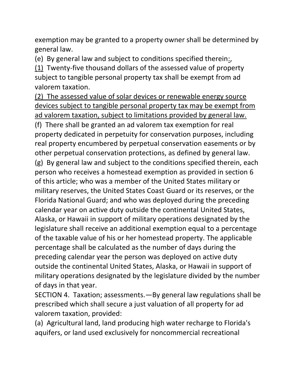exemption may be granted to a property owner shall be determined by general law.

(e) By general law and subject to conditions specified therein:,

(1) Twenty-five thousand dollars of the assessed value of property subject to tangible personal property tax shall be exempt from ad valorem taxation.

(2) The assessed value of solar devices or renewable energy source devices subject to tangible personal property tax may be exempt from ad valorem taxation, subject to limitations provided by general law. (f) There shall be granted an ad valorem tax exemption for real property dedicated in perpetuity for conservation purposes, including real property encumbered by perpetual conservation easements or by other perpetual conservation protections, as defined by general law. (g) By general law and subject to the conditions specified therein, each person who receives a homestead exemption as provided in section 6 of this article; who was a member of the United States military or military reserves, the United States Coast Guard or its reserves, or the Florida National Guard; and who was deployed during the preceding calendar year on active duty outside the continental United States, Alaska, or Hawaii in support of military operations designated by the legislature shall receive an additional exemption equal to a percentage of the taxable value of his or her homestead property. The applicable percentage shall be calculated as the number of days during the preceding calendar year the person was deployed on active duty outside the continental United States, Alaska, or Hawaii in support of military operations designated by the legislature divided by the number of days in that year.

SECTION 4. Taxation; assessments.—By general law regulations shall be prescribed which shall secure a just valuation of all property for ad valorem taxation, provided:

(a) Agricultural land, land producing high water recharge to Florida's aquifers, or land used exclusively for noncommercial recreational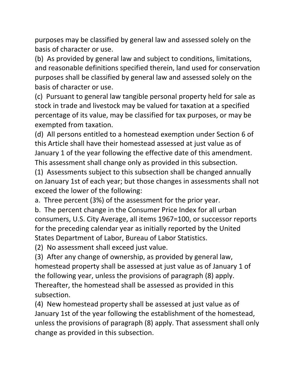purposes may be classified by general law and assessed solely on the basis of character or use.

(b) As provided by general law and subject to conditions, limitations, and reasonable definitions specified therein, land used for conservation purposes shall be classified by general law and assessed solely on the basis of character or use.

(c) Pursuant to general law tangible personal property held for sale as stock in trade and livestock may be valued for taxation at a specified percentage of its value, may be classified for tax purposes, or may be exempted from taxation.

(d) All persons entitled to a homestead exemption under Section 6 of this Article shall have their homestead assessed at just value as of January 1 of the year following the effective date of this amendment. This assessment shall change only as provided in this subsection.

(1) Assessments subject to this subsection shall be changed annually on January 1st of each year; but those changes in assessments shall not exceed the lower of the following:

a. Three percent (3%) of the assessment for the prior year.

b. The percent change in the Consumer Price Index for all urban consumers, U.S. City Average, all items 1967=100, or successor reports for the preceding calendar year as initially reported by the United States Department of Labor, Bureau of Labor Statistics.

(2) No assessment shall exceed just value.

(3) After any change of ownership, as provided by general law, homestead property shall be assessed at just value as of January 1 of the following year, unless the provisions of paragraph (8) apply. Thereafter, the homestead shall be assessed as provided in this subsection.

(4) New homestead property shall be assessed at just value as of January 1st of the year following the establishment of the homestead, unless the provisions of paragraph (8) apply. That assessment shall only change as provided in this subsection.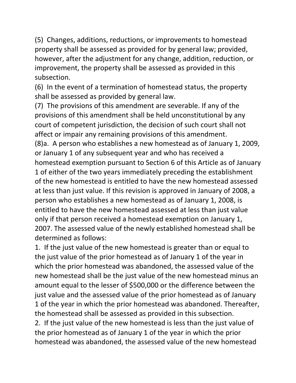(5) Changes, additions, reductions, or improvements to homestead property shall be assessed as provided for by general law; provided, however, after the adjustment for any change, addition, reduction, or improvement, the property shall be assessed as provided in this subsection.

(6) In the event of a termination of homestead status, the property shall be assessed as provided by general law.

(7) The provisions of this amendment are severable. If any of the provisions of this amendment shall be held unconstitutional by any court of competent jurisdiction, the decision of such court shall not affect or impair any remaining provisions of this amendment. (8)a. A person who establishes a new homestead as of January 1, 2009, or January 1 of any subsequent year and who has received a homestead exemption pursuant to Section 6 of this Article as of January 1 of either of the two years immediately preceding the establishment of the new homestead is entitled to have the new homestead assessed at less than just value. If this revision is approved in January of 2008, a person who establishes a new homestead as of January 1, 2008, is entitled to have the new homestead assessed at less than just value only if that person received a homestead exemption on January 1, 2007. The assessed value of the newly established homestead shall be determined as follows:

1. If the just value of the new homestead is greater than or equal to the just value of the prior homestead as of January 1 of the year in which the prior homestead was abandoned, the assessed value of the new homestead shall be the just value of the new homestead minus an amount equal to the lesser of \$500,000 or the difference between the just value and the assessed value of the prior homestead as of January 1 of the year in which the prior homestead was abandoned. Thereafter, the homestead shall be assessed as provided in this subsection.

2. If the just value of the new homestead is less than the just value of the prior homestead as of January 1 of the year in which the prior homestead was abandoned, the assessed value of the new homestead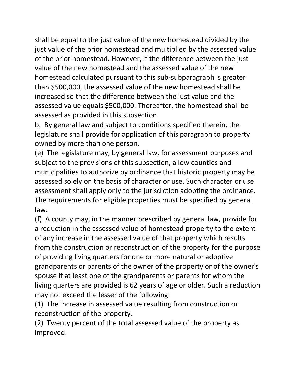shall be equal to the just value of the new homestead divided by the just value of the prior homestead and multiplied by the assessed value of the prior homestead. However, if the difference between the just value of the new homestead and the assessed value of the new homestead calculated pursuant to this sub-subparagraph is greater than \$500,000, the assessed value of the new homestead shall be increased so that the difference between the just value and the assessed value equals \$500,000. Thereafter, the homestead shall be assessed as provided in this subsection.

b. By general law and subject to conditions specified therein, the legislature shall provide for application of this paragraph to property owned by more than one person.

(e) The legislature may, by general law, for assessment purposes and subject to the provisions of this subsection, allow counties and municipalities to authorize by ordinance that historic property may be assessed solely on the basis of character or use. Such character or use assessment shall apply only to the jurisdiction adopting the ordinance. The requirements for eligible properties must be specified by general law.

(f) A county may, in the manner prescribed by general law, provide for a reduction in the assessed value of homestead property to the extent of any increase in the assessed value of that property which results from the construction or reconstruction of the property for the purpose of providing living quarters for one or more natural or adoptive grandparents or parents of the owner of the property or of the owner's spouse if at least one of the grandparents or parents for whom the living quarters are provided is 62 years of age or older. Such a reduction may not exceed the lesser of the following:

(1) The increase in assessed value resulting from construction or reconstruction of the property.

(2) Twenty percent of the total assessed value of the property as improved.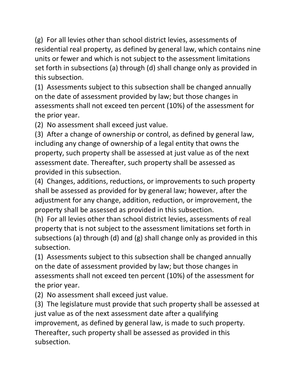(g) For all levies other than school district levies, assessments of residential real property, as defined by general law, which contains nine units or fewer and which is not subject to the assessment limitations set forth in subsections (a) through (d) shall change only as provided in this subsection.

(1) Assessments subject to this subsection shall be changed annually on the date of assessment provided by law; but those changes in assessments shall not exceed ten percent (10%) of the assessment for the prior year.

(2) No assessment shall exceed just value.

(3) After a change of ownership or control, as defined by general law, including any change of ownership of a legal entity that owns the property, such property shall be assessed at just value as of the next assessment date. Thereafter, such property shall be assessed as provided in this subsection.

(4) Changes, additions, reductions, or improvements to such property shall be assessed as provided for by general law; however, after the adjustment for any change, addition, reduction, or improvement, the property shall be assessed as provided in this subsection.

(h) For all levies other than school district levies, assessments of real property that is not subject to the assessment limitations set forth in subsections (a) through (d) and (g) shall change only as provided in this subsection.

(1) Assessments subject to this subsection shall be changed annually on the date of assessment provided by law; but those changes in assessments shall not exceed ten percent (10%) of the assessment for the prior year.

(2) No assessment shall exceed just value.

(3) The legislature must provide that such property shall be assessed at just value as of the next assessment date after a qualifying improvement, as defined by general law, is made to such property. Thereafter, such property shall be assessed as provided in this subsection.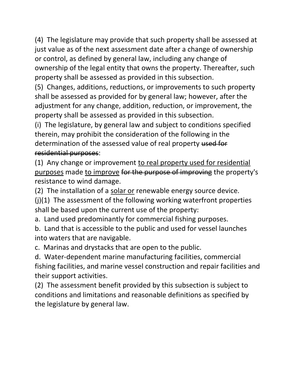(4) The legislature may provide that such property shall be assessed at just value as of the next assessment date after a change of ownership or control, as defined by general law, including any change of ownership of the legal entity that owns the property. Thereafter, such property shall be assessed as provided in this subsection.

(5) Changes, additions, reductions, or improvements to such property shall be assessed as provided for by general law; however, after the adjustment for any change, addition, reduction, or improvement, the property shall be assessed as provided in this subsection.

(i) The legislature, by general law and subject to conditions specified therein, may prohibit the consideration of the following in the determination of the assessed value of real property used for residential purposes:

(1) Any change or improvement to real property used for residential purposes made to improve for the purpose of improving the property's resistance to wind damage.

(2) The installation of a solar or renewable energy source device.

(j)(1) The assessment of the following working waterfront properties shall be based upon the current use of the property:

a. Land used predominantly for commercial fishing purposes.

b. Land that is accessible to the public and used for vessel launches into waters that are navigable.

c. Marinas and drystacks that are open to the public.

d. Water-dependent marine manufacturing facilities, commercial fishing facilities, and marine vessel construction and repair facilities and their support activities.

(2) The assessment benefit provided by this subsection is subject to conditions and limitations and reasonable definitions as specified by the legislature by general law.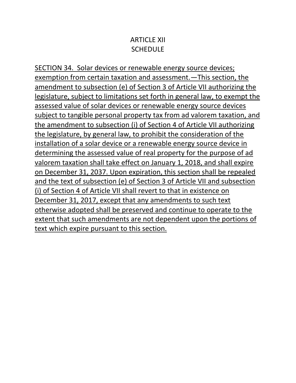#### ARTICLE XII **SCHEDULE**

SECTION 34. Solar devices or renewable energy source devices; exemption from certain taxation and assessment.—This section, the amendment to subsection (e) of Section 3 of Article VII authorizing the legislature, subject to limitations set forth in general law, to exempt the assessed value of solar devices or renewable energy source devices subject to tangible personal property tax from ad valorem taxation, and the amendment to subsection (i) of Section 4 of Article VII authorizing the legislature, by general law, to prohibit the consideration of the installation of a solar device or a renewable energy source device in determining the assessed value of real property for the purpose of ad valorem taxation shall take effect on January 1, 2018, and shall expire on December 31, 2037. Upon expiration, this section shall be repealed and the text of subsection (e) of Section 3 of Article VII and subsection (i) of Section 4 of Article VII shall revert to that in existence on December 31, 2017, except that any amendments to such text otherwise adopted shall be preserved and continue to operate to the extent that such amendments are not dependent upon the portions of text which expire pursuant to this section.